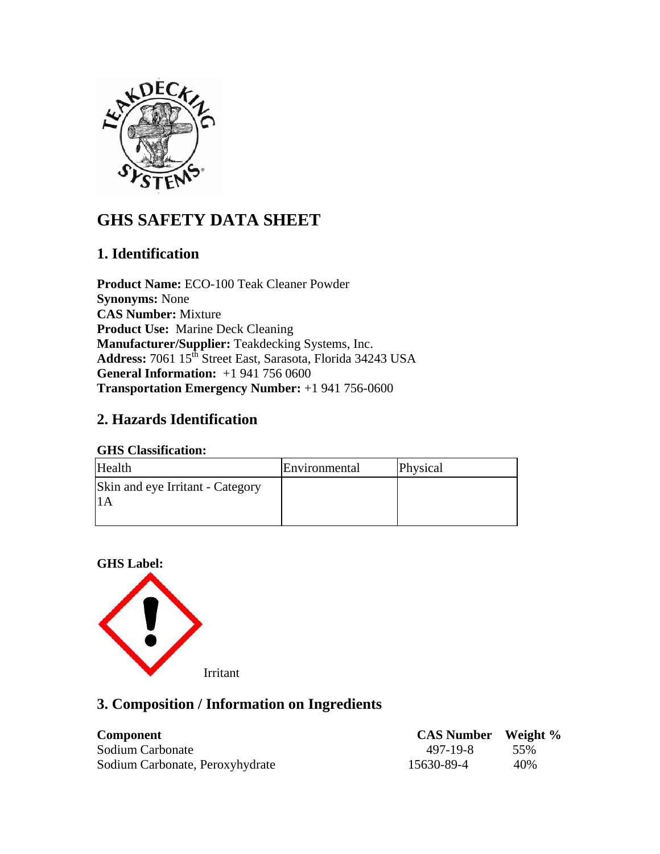

# **GHS SAFETY DATA SHEET**

# **1. Identification**

**Product Name:** ECO-100 Teak Cleaner Powder **Synonyms:** None **CAS Number:** Mixture **Product Use:** Marine Deck Cleaning **Manufacturer/Supplier:** Teakdecking Systems, Inc. Address: 7061 15<sup>th</sup> Street East, Sarasota, Florida 34243 USA **General Information:** +1 941 756 0600 **Transportation Emergency Number:** +1 941 756-0600

# **2. Hazards Identification**

#### **GHS Classification:**

| Health                           | Environmental | Physical |
|----------------------------------|---------------|----------|
| Skin and eye Irritant - Category |               |          |

### **GHS Label:**



# **3. Composition / Information on Ingredients**

| <b>Component</b>                | <b>CAS Number</b> Weight % |      |
|---------------------------------|----------------------------|------|
| Sodium Carbonate                | 497-19-8                   | .55% |
| Sodium Carbonate, Peroxyhydrate | 15630-89-4                 | 40%  |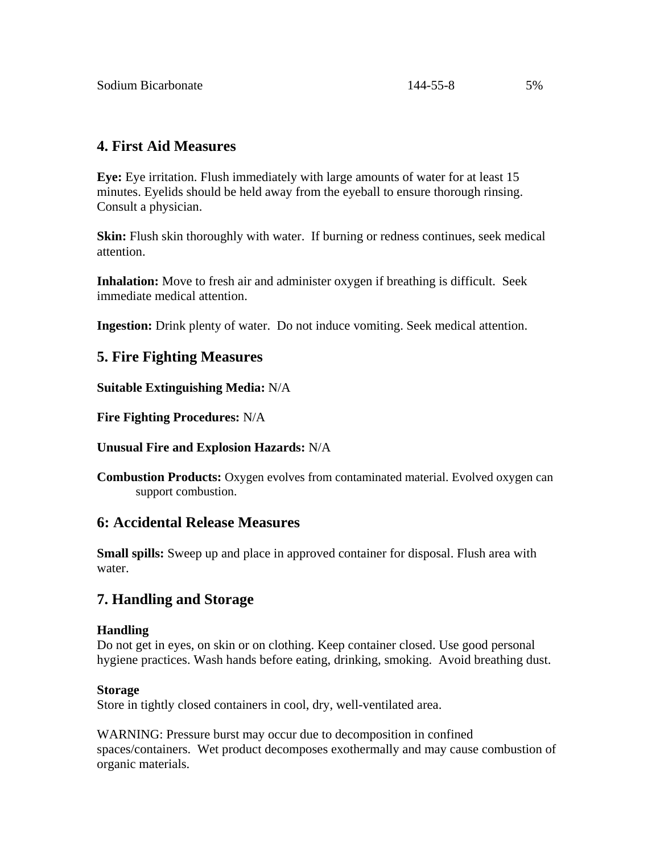## **4. First Aid Measures**

**Eye:** Eye irritation. Flush immediately with large amounts of water for at least 15 minutes. Eyelids should be held away from the eyeball to ensure thorough rinsing. Consult a physician.

**Skin:** Flush skin thoroughly with water. If burning or redness continues, seek medical attention.

**Inhalation:** Move to fresh air and administer oxygen if breathing is difficult. Seek immediate medical attention.

**Ingestion:** Drink plenty of water. Do not induce vomiting. Seek medical attention.

## **5. Fire Fighting Measures**

**Suitable Extinguishing Media:** N/A

**Fire Fighting Procedures:** N/A

**Unusual Fire and Explosion Hazards:** N/A

**Combustion Products:** Oxygen evolves from contaminated material. Evolved oxygen can support combustion.

## **6: Accidental Release Measures**

**Small spills:** Sweep up and place in approved container for disposal. Flush area with water.

# **7. Handling and Storage**

#### **Handling**

Do not get in eyes, on skin or on clothing. Keep container closed. Use good personal hygiene practices. Wash hands before eating, drinking, smoking. Avoid breathing dust.

#### **Storage**

Store in tightly closed containers in cool, dry, well-ventilated area.

WARNING: Pressure burst may occur due to decomposition in confined spaces/containers. Wet product decomposes exothermally and may cause combustion of organic materials.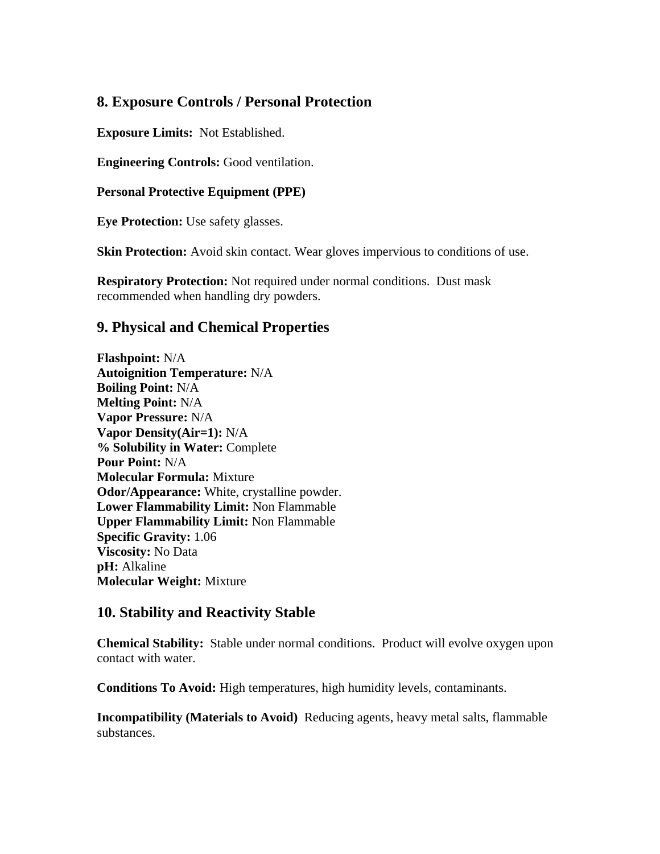# **8. Exposure Controls / Personal Protection**

**Exposure Limits:** Not Established.

**Engineering Controls:** Good ventilation.

**Personal Protective Equipment (PPE)**

**Eye Protection:** Use safety glasses.

**Skin Protection:** Avoid skin contact. Wear gloves impervious to conditions of use.

**Respiratory Protection:** Not required under normal conditions. Dust mask recommended when handling dry powders.

## **9. Physical and Chemical Properties**

**Flashpoint:** N/A **Autoignition Temperature:** N/A **Boiling Point:** N/A **Melting Point:** N/A **Vapor Pressure:** N/A **Vapor Density(Air=1):** N/A **% Solubility in Water:** Complete **Pour Point:** N/A **Molecular Formula:** Mixture **Odor/Appearance:** White, crystalline powder. **Lower Flammability Limit:** Non Flammable **Upper Flammability Limit:** Non Flammable **Specific Gravity:** 1.06 **Viscosity:** No Data **pH:** Alkaline **Molecular Weight:** Mixture

## **10. Stability and Reactivity Stable**

**Chemical Stability:** Stable under normal conditions. Product will evolve oxygen upon contact with water.

**Conditions To Avoid:** High temperatures, high humidity levels, contaminants.

**Incompatibility (Materials to Avoid)** Reducing agents, heavy metal salts, flammable substances.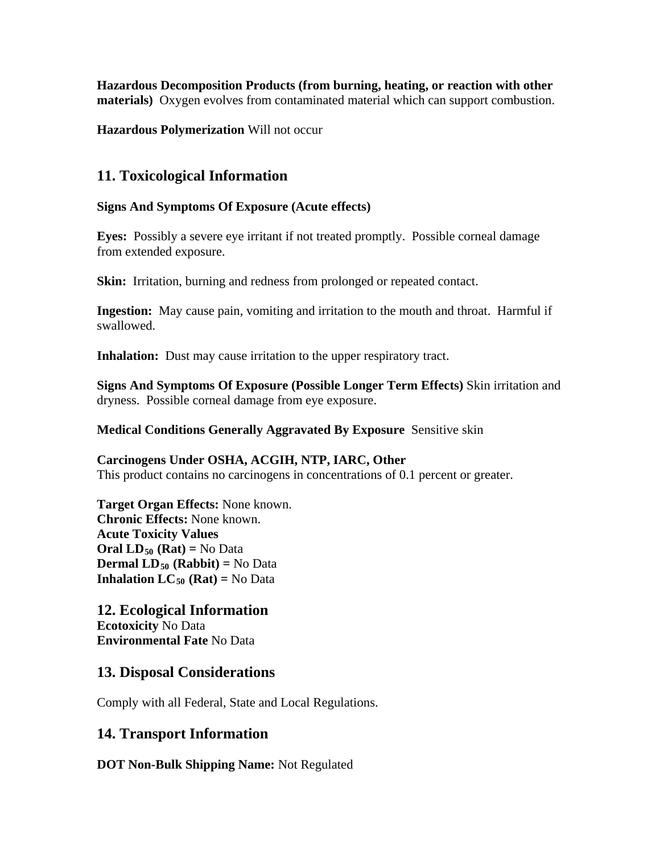**Hazardous Decomposition Products (from burning, heating, or reaction with other materials)** Oxygen evolves from contaminated material which can support combustion.

**Hazardous Polymerization** Will not occur

## **11. Toxicological Information**

#### **Signs And Symptoms Of Exposure (Acute effects)**

**Eyes:** Possibly a severe eye irritant if not treated promptly. Possible corneal damage from extended exposure.

**Skin:** Irritation, burning and redness from prolonged or repeated contact.

**Ingestion:** May cause pain, vomiting and irritation to the mouth and throat. Harmful if swallowed.

**Inhalation:** Dust may cause irritation to the upper respiratory tract.

**Signs And Symptoms Of Exposure (Possible Longer Term Effects)** Skin irritation and dryness. Possible corneal damage from eye exposure.

**Medical Conditions Generally Aggravated By Exposure** Sensitive skin

#### **Carcinogens Under OSHA, ACGIH, NTP, IARC, Other**  This product contains no carcinogens in concentrations of 0.1 percent or greater.

**Target Organ Effects:** None known. **Chronic Effects:** None known. **Acute Toxicity Values Oral**  $LD_{50}$  **(Rat)** = No Data **Dermal LD<sub>50</sub> (Rabbit) = No Data Inhalation LC<sub>50</sub> (Rat) = No Data** 

**12. Ecological Information Ecotoxicity** No Data

**Environmental Fate** No Data

# **13. Disposal Considerations**

Comply with all Federal, State and Local Regulations.

# **14. Transport Information**

**DOT Non-Bulk Shipping Name:** Not Regulated